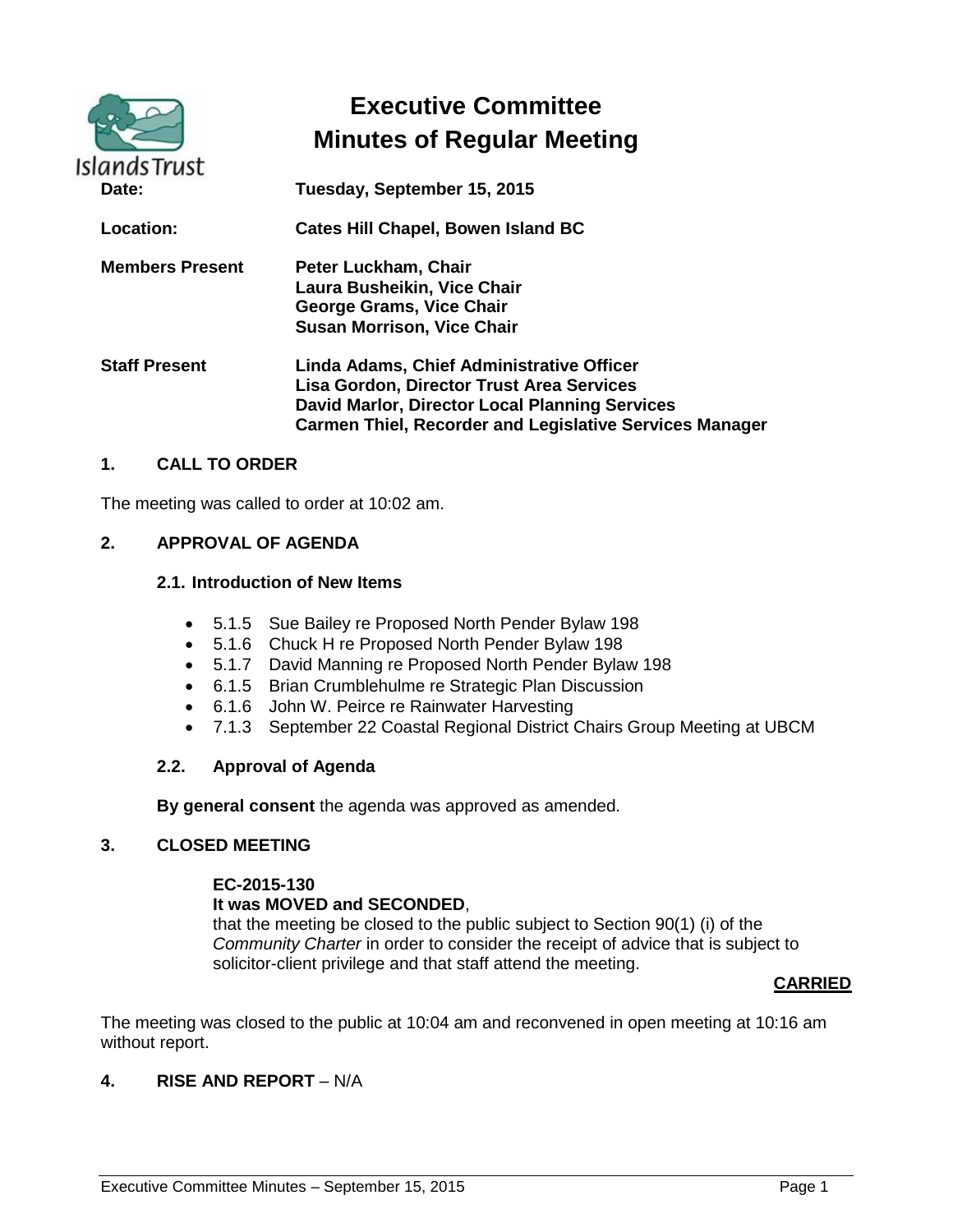| <b>Islands Trust</b>   | <b>Executive Committee</b><br><b>Minutes of Regular Meeting</b>                                                                                                                                            |
|------------------------|------------------------------------------------------------------------------------------------------------------------------------------------------------------------------------------------------------|
| Date:                  | Tuesday, September 15, 2015                                                                                                                                                                                |
| Location:              | <b>Cates Hill Chapel, Bowen Island BC</b>                                                                                                                                                                  |
| <b>Members Present</b> | Peter Luckham, Chair<br>Laura Busheikin, Vice Chair<br>George Grams, Vice Chair<br><b>Susan Morrison, Vice Chair</b>                                                                                       |
| <b>Staff Present</b>   | Linda Adams, Chief Administrative Officer<br>Lisa Gordon, Director Trust Area Services<br>David Marlor, Director Local Planning Services<br><b>Carmen Thiel, Recorder and Legislative Services Manager</b> |

# **1. CALL TO ORDER**

The meeting was called to order at 10:02 am.

### **2. APPROVAL OF AGENDA**

### **2.1. Introduction of New Items**

- 5.1.5 Sue Bailey re Proposed North Pender Bylaw 198
- 5.1.6 Chuck H re Proposed North Pender Bylaw 198
- 5.1.7 David Manning re Proposed North Pender Bylaw 198
- 6.1.5 Brian Crumblehulme re Strategic Plan Discussion
- 6.1.6 John W. Peirce re Rainwater Harvesting
- 7.1.3 September 22 Coastal Regional District Chairs Group Meeting at UBCM

#### **2.2. Approval of Agenda**

**By general consent** the agenda was approved as amended.

#### **3. CLOSED MEETING**

#### **EC-2015-130**

#### **It was MOVED and SECONDED**,

that the meeting be closed to the public subject to Section 90(1) (i) of the *Community Charter* in order to consider the receipt of advice that is subject to solicitor-client privilege and that staff attend the meeting.

#### **CARRIED**

The meeting was closed to the public at 10:04 am and reconvened in open meeting at 10:16 am without report.

#### **4. RISE AND REPORT** – N/A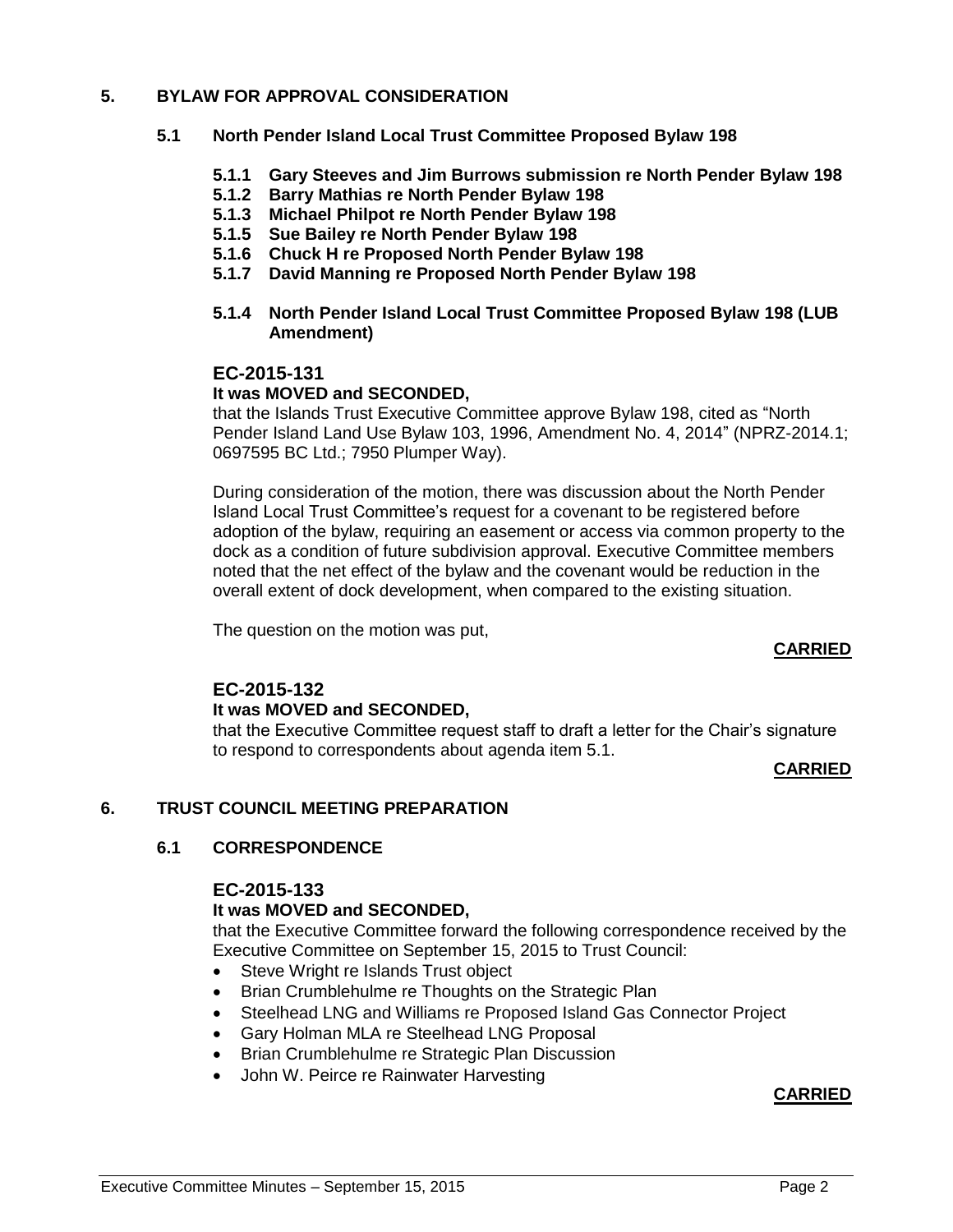# **5. BYLAW FOR APPROVAL CONSIDERATION**

# **5.1 North Pender Island Local Trust Committee Proposed Bylaw 198**

- **5.1.1 Gary Steeves and Jim Burrows submission re North Pender Bylaw 198**
- **5.1.2 Barry Mathias re North Pender Bylaw 198**
- **5.1.3 Michael Philpot re North Pender Bylaw 198**
- **5.1.5 Sue Bailey re North Pender Bylaw 198**
- **5.1.6 Chuck H re Proposed North Pender Bylaw 198**
- **5.1.7 David Manning re Proposed North Pender Bylaw 198**
- **5.1.4 North Pender Island Local Trust Committee Proposed Bylaw 198 (LUB Amendment)**

# **EC-2015-131**

### **It was MOVED and SECONDED,**

that the Islands Trust Executive Committee approve Bylaw 198, cited as "North Pender Island Land Use Bylaw 103, 1996, Amendment No. 4, 2014" (NPRZ-2014.1; 0697595 BC Ltd.; 7950 Plumper Way).

During consideration of the motion, there was discussion about the North Pender Island Local Trust Committee's request for a covenant to be registered before adoption of the bylaw, requiring an easement or access via common property to the dock as a condition of future subdivision approval. Executive Committee members noted that the net effect of the bylaw and the covenant would be reduction in the overall extent of dock development, when compared to the existing situation.

The question on the motion was put,

#### **CARRIED**

# **EC-2015-132 It was MOVED and SECONDED,**

that the Executive Committee request staff to draft a letter for the Chair's signature to respond to correspondents about agenda item 5.1.

#### **CARRIED**

# **6. TRUST COUNCIL MEETING PREPARATION**

# **6.1 CORRESPONDENCE**

#### **EC-2015-133**

#### **It was MOVED and SECONDED,**

that the Executive Committee forward the following correspondence received by the Executive Committee on September 15, 2015 to Trust Council:

- Steve Wright re Islands Trust object
- Brian Crumblehulme re Thoughts on the Strategic Plan
- Steelhead LNG and Williams re Proposed Island Gas Connector Project
- Gary Holman MLA re Steelhead LNG Proposal
- Brian Crumblehulme re Strategic Plan Discussion
- John W. Peirce re Rainwater Harvesting

#### **CARRIED**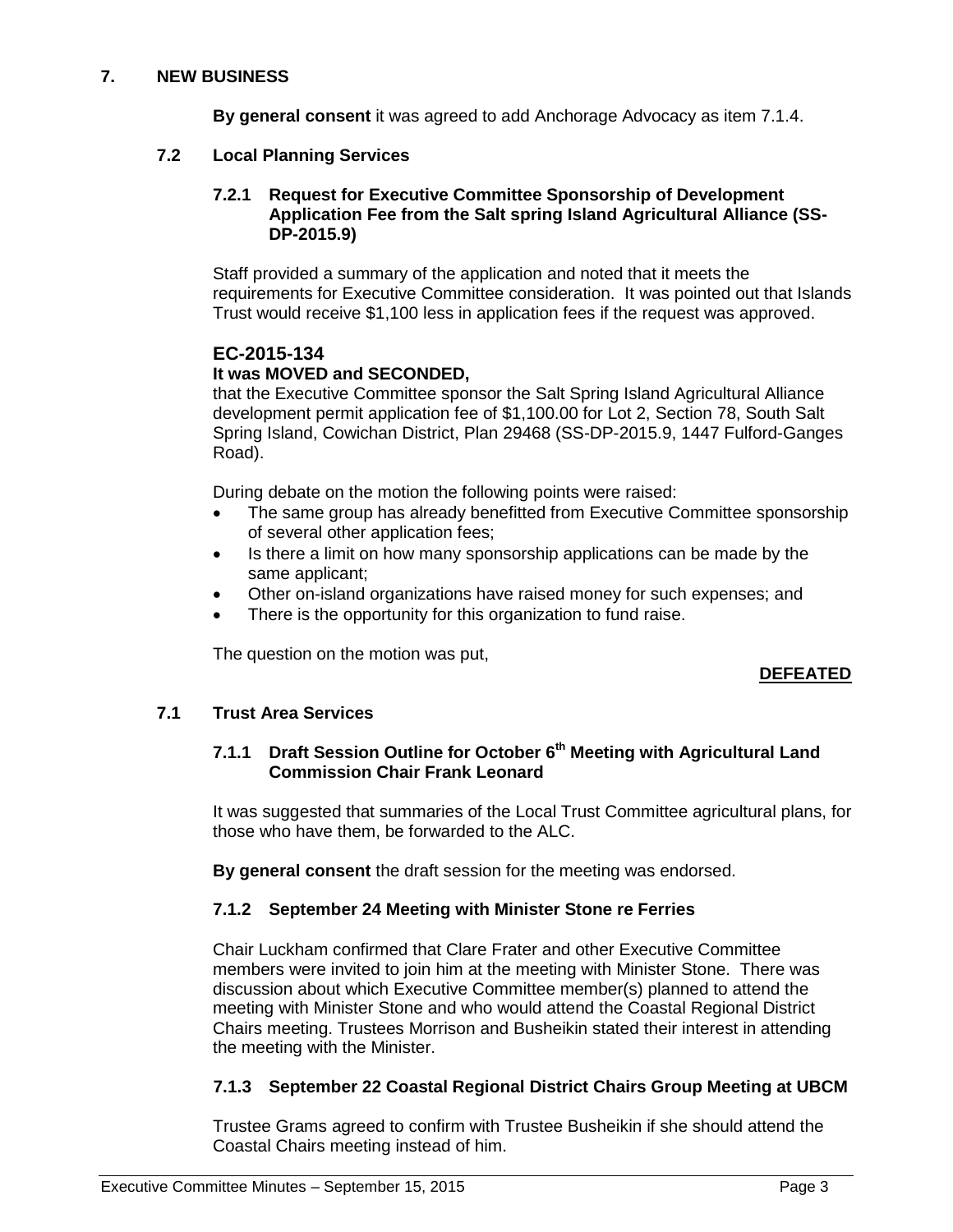# **7. NEW BUSINESS**

**By general consent** it was agreed to add Anchorage Advocacy as item 7.1.4.

### **7.2 Local Planning Services**

#### **7.2.1 Request for Executive Committee Sponsorship of Development Application Fee from the Salt spring Island Agricultural Alliance (SS-DP-2015.9)**

Staff provided a summary of the application and noted that it meets the requirements for Executive Committee consideration. It was pointed out that Islands Trust would receive \$1,100 less in application fees if the request was approved.

# **EC-2015-134**

# **It was MOVED and SECONDED,**

that the Executive Committee sponsor the Salt Spring Island Agricultural Alliance development permit application fee of \$1,100.00 for Lot 2, Section 78, South Salt Spring Island, Cowichan District, Plan 29468 (SS-DP-2015.9, 1447 Fulford-Ganges Road).

During debate on the motion the following points were raised:

- The same group has already benefitted from Executive Committee sponsorship of several other application fees;
- Is there a limit on how many sponsorship applications can be made by the same applicant;
- Other on-island organizations have raised money for such expenses; and
- There is the opportunity for this organization to fund raise.

The question on the motion was put,

# **DEFEATED**

# **7.1 Trust Area Services**

# **7.1.1 Draft Session Outline for October 6th Meeting with Agricultural Land Commission Chair Frank Leonard**

It was suggested that summaries of the Local Trust Committee agricultural plans, for those who have them, be forwarded to the ALC.

**By general consent** the draft session for the meeting was endorsed.

# **7.1.2 September 24 Meeting with Minister Stone re Ferries**

Chair Luckham confirmed that Clare Frater and other Executive Committee members were invited to join him at the meeting with Minister Stone. There was discussion about which Executive Committee member(s) planned to attend the meeting with Minister Stone and who would attend the Coastal Regional District Chairs meeting. Trustees Morrison and Busheikin stated their interest in attending the meeting with the Minister.

# **7.1.3 September 22 Coastal Regional District Chairs Group Meeting at UBCM**

Trustee Grams agreed to confirm with Trustee Busheikin if she should attend the Coastal Chairs meeting instead of him.